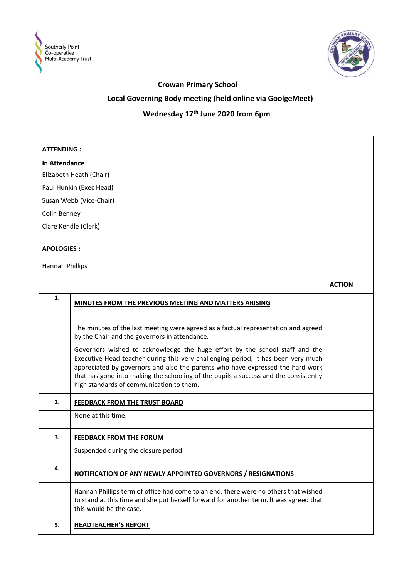



### **Crowan Primary School**

## **Local Governing Body meeting (held online via GoolgeMeet)**

# **Wednesday 17th June 2020 from 6pm**

| <b>ATTENDING:</b>       |                                                                                                                                                                                                                                                                                                                                                                                        |               |
|-------------------------|----------------------------------------------------------------------------------------------------------------------------------------------------------------------------------------------------------------------------------------------------------------------------------------------------------------------------------------------------------------------------------------|---------------|
| In Attendance           |                                                                                                                                                                                                                                                                                                                                                                                        |               |
| Elizabeth Heath (Chair) |                                                                                                                                                                                                                                                                                                                                                                                        |               |
|                         | Paul Hunkin (Exec Head)                                                                                                                                                                                                                                                                                                                                                                |               |
|                         | Susan Webb (Vice-Chair)                                                                                                                                                                                                                                                                                                                                                                |               |
| Colin Benney            |                                                                                                                                                                                                                                                                                                                                                                                        |               |
| Clare Kendle (Clerk)    |                                                                                                                                                                                                                                                                                                                                                                                        |               |
| <b>APOLOGIES:</b>       |                                                                                                                                                                                                                                                                                                                                                                                        |               |
| <b>Hannah Phillips</b>  |                                                                                                                                                                                                                                                                                                                                                                                        |               |
|                         |                                                                                                                                                                                                                                                                                                                                                                                        | <b>ACTION</b> |
| 1.                      | MINUTES FROM THE PREVIOUS MEETING AND MATTERS ARISING                                                                                                                                                                                                                                                                                                                                  |               |
|                         | The minutes of the last meeting were agreed as a factual representation and agreed<br>by the Chair and the governors in attendance.                                                                                                                                                                                                                                                    |               |
|                         | Governors wished to acknowledge the huge effort by the school staff and the<br>Executive Head teacher during this very challenging period, it has been very much<br>appreciated by governors and also the parents who have expressed the hard work<br>that has gone into making the schooling of the pupils a success and the consistently<br>high standards of communication to them. |               |
| 2.                      | FEEDBACK FROM THE TRUST BOARD                                                                                                                                                                                                                                                                                                                                                          |               |
|                         | None at this time.                                                                                                                                                                                                                                                                                                                                                                     |               |
| 3.                      | <b>FEEDBACK FROM THE FORUM</b>                                                                                                                                                                                                                                                                                                                                                         |               |
|                         | Suspended during the closure period.                                                                                                                                                                                                                                                                                                                                                   |               |
| 4.                      | NOTIFICATION OF ANY NEWLY APPOINTED GOVERNORS / RESIGNATIONS                                                                                                                                                                                                                                                                                                                           |               |
|                         | Hannah Phillips term of office had come to an end, there were no others that wished<br>to stand at this time and she put herself forward for another term. It was agreed that<br>this would be the case.                                                                                                                                                                               |               |
| 5.                      | <b>HEADTEACHER'S REPORT</b>                                                                                                                                                                                                                                                                                                                                                            |               |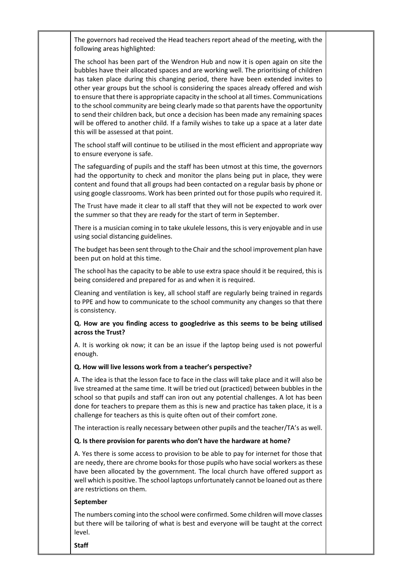The governors had received the Head teachers report ahead of the meeting, with the following areas highlighted:

The school has been part of the Wendron Hub and now it is open again on site the bubbles have their allocated spaces and are working well. The prioritising of children has taken place during this changing period, there have been extended invites to other year groups but the school is considering the spaces already offered and wish to ensure that there is appropriate capacity in the school at all times. Communications to the school community are being clearly made so that parents have the opportunity to send their children back, but once a decision has been made any remaining spaces will be offered to another child. If a family wishes to take up a space at a later date this will be assessed at that point.

The school staff will continue to be utilised in the most efficient and appropriate way to ensure everyone is safe.

The safeguarding of pupils and the staff has been utmost at this time, the governors had the opportunity to check and monitor the plans being put in place, they were content and found that all groups had been contacted on a regular basis by phone or using google classrooms. Work has been printed out for those pupils who required it.

The Trust have made it clear to all staff that they will not be expected to work over the summer so that they are ready for the start of term in September.

There is a musician coming in to take ukulele lessons, this is very enjoyable and in use using social distancing guidelines.

The budget has been sent through to the Chair and the school improvement plan have been put on hold at this time.

The school has the capacity to be able to use extra space should it be required, this is being considered and prepared for as and when it is required.

Cleaning and ventilation is key, all school staff are regularly being trained in regards to PPE and how to communicate to the school community any changes so that there is consistency.

#### **Q. How are you finding access to googledrive as this seems to be being utilised across the Trust?**

A. It is working ok now; it can be an issue if the laptop being used is not powerful enough.

#### **Q. How will live lessons work from a teacher's perspective?**

A. The idea is that the lesson face to face in the class will take place and it will also be live streamed at the same time. It will be tried out (practiced) between bubbles in the school so that pupils and staff can iron out any potential challenges. A lot has been done for teachers to prepare them as this is new and practice has taken place, it is a challenge for teachers as this is quite often out of their comfort zone.

The interaction is really necessary between other pupils and the teacher/TA's as well.

#### **Q. Is there provision for parents who don't have the hardware at home?**

A. Yes there is some access to provision to be able to pay for internet for those that are needy, there are chrome books for those pupils who have social workers as these have been allocated by the government. The local church have offered support as well which is positive. The school laptops unfortunately cannot be loaned out asthere are restrictions on them.

#### **September**

The numbers coming into the school were confirmed. Some children will move classes but there will be tailoring of what is best and everyone will be taught at the correct level.

**Staff**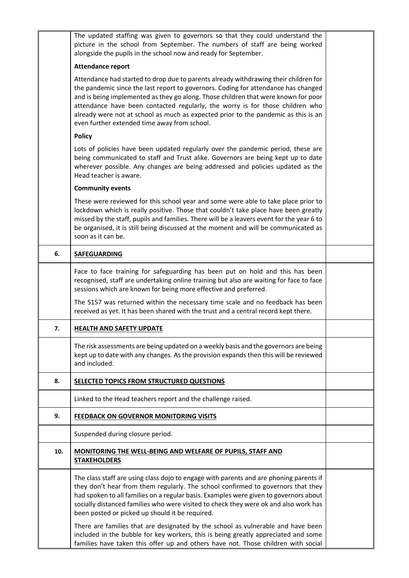|     | The updated staffing was given to governors so that they could understand the<br>picture in the school from September. The numbers of staff are being worked<br>alongside the pupils in the school now and ready for September.                                                                                                                                                                                                                                                         |  |
|-----|-----------------------------------------------------------------------------------------------------------------------------------------------------------------------------------------------------------------------------------------------------------------------------------------------------------------------------------------------------------------------------------------------------------------------------------------------------------------------------------------|--|
|     | <b>Attendance report</b>                                                                                                                                                                                                                                                                                                                                                                                                                                                                |  |
|     | Attendance had started to drop due to parents already withdrawing their children for<br>the pandemic since the last report to governors. Coding for attendance has changed<br>and is being implemented as they go along. Those children that were known for poor<br>attendance have been contacted regularly, the worry is for those children who<br>already were not at school as much as expected prior to the pandemic as this is an<br>even further extended time away from school. |  |
|     | <b>Policy</b>                                                                                                                                                                                                                                                                                                                                                                                                                                                                           |  |
|     | Lots of policies have been updated regularly over the pandemic period, these are<br>being communicated to staff and Trust alike. Governors are being kept up to date<br>wherever possible. Any changes are being addressed and policies updated as the<br>Head teacher is aware.                                                                                                                                                                                                        |  |
|     | <b>Community events</b>                                                                                                                                                                                                                                                                                                                                                                                                                                                                 |  |
|     | These were reviewed for this school year and some were able to take place prior to<br>lockdown which is really positive. Those that couldn't take place have been greatly<br>missed by the staff, pupils and families. There will be a leavers event for the year 6 to<br>be organised, it is still being discussed at the moment and will be communicated as<br>soon as it can be.                                                                                                     |  |
| 6.  | <b>SAFEGUARDING</b>                                                                                                                                                                                                                                                                                                                                                                                                                                                                     |  |
|     | Face to face training for safeguarding has been put on hold and this has been<br>recognised, staff are undertaking online training but also are waiting for face to face<br>sessions which are known for being more effective and preferred.                                                                                                                                                                                                                                            |  |
|     | The S157 was returned within the necessary time scale and no feedback has been<br>received as yet. It has been shared with the trust and a central record kept there.                                                                                                                                                                                                                                                                                                                   |  |
| 7.  | <b>HEALTH AND SAFETY UPDATE</b>                                                                                                                                                                                                                                                                                                                                                                                                                                                         |  |
|     | The risk assessments are being updated on a weekly basis and the governors are being<br>kept up to date with any changes. As the provision expands then this will be reviewed<br>and included.                                                                                                                                                                                                                                                                                          |  |
| 8.  | SELECTED TOPICS FROM STRUCTURED QUESTIONS                                                                                                                                                                                                                                                                                                                                                                                                                                               |  |
|     | Linked to the Head teachers report and the challenge raised.                                                                                                                                                                                                                                                                                                                                                                                                                            |  |
| 9.  | <b>FEEDBACK ON GOVERNOR MONITORING VISITS</b>                                                                                                                                                                                                                                                                                                                                                                                                                                           |  |
|     | Suspended during closure period.                                                                                                                                                                                                                                                                                                                                                                                                                                                        |  |
| 10. | MONITORING THE WELL-BEING AND WELFARE OF PUPILS, STAFF AND<br><b>STAKEHOLDERS</b>                                                                                                                                                                                                                                                                                                                                                                                                       |  |
|     | The class staff are using class dojo to engage with parents and are phoning parents if<br>they don't hear from them regularly. The school confirmed to governors that they<br>had spoken to all families on a regular basis. Examples were given to governors about<br>socially distanced families who were visited to check they were ok and also work has<br>been posted or picked up should it be required.                                                                          |  |
|     | There are families that are designated by the school as vulnerable and have been<br>included in the bubble for key workers, this is being greatly appreciated and some<br>families have taken this offer up and others have not. Those children with social                                                                                                                                                                                                                             |  |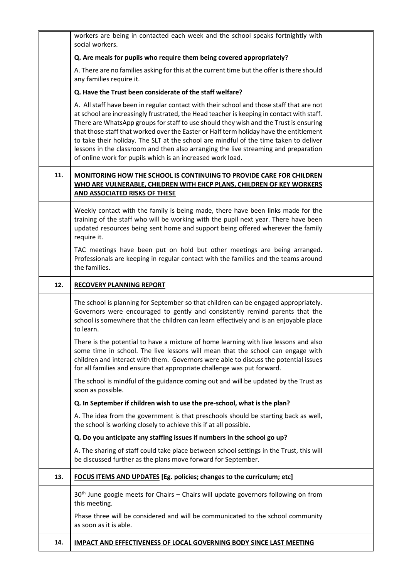|     | workers are being in contacted each week and the school speaks fortnightly with<br>social workers.                                                                                                                                                                                                                                                                                                                                                                                                                                                                                                                     |  |
|-----|------------------------------------------------------------------------------------------------------------------------------------------------------------------------------------------------------------------------------------------------------------------------------------------------------------------------------------------------------------------------------------------------------------------------------------------------------------------------------------------------------------------------------------------------------------------------------------------------------------------------|--|
|     | Q. Are meals for pupils who require them being covered appropriately?                                                                                                                                                                                                                                                                                                                                                                                                                                                                                                                                                  |  |
|     | A. There are no families asking for this at the current time but the offer is there should<br>any families require it.                                                                                                                                                                                                                                                                                                                                                                                                                                                                                                 |  |
|     | Q. Have the Trust been considerate of the staff welfare?                                                                                                                                                                                                                                                                                                                                                                                                                                                                                                                                                               |  |
|     | A. All staff have been in regular contact with their school and those staff that are not<br>at school are increasingly frustrated, the Head teacher is keeping in contact with staff.<br>There are WhatsApp groups for staff to use should they wish and the Trust is ensuring<br>that those staff that worked over the Easter or Half term holiday have the entitlement<br>to take their holiday. The SLT at the school are mindful of the time taken to deliver<br>lessons in the classroom and then also arranging the live streaming and preparation<br>of online work for pupils which is an increased work load. |  |
| 11. | <b>MONITORING HOW THE SCHOOL IS CONTINUING TO PROVIDE CARE FOR CHILDREN</b><br>WHO ARE VULNERABLE, CHILDREN WITH EHCP PLANS, CHILDREN OF KEY WORKERS<br>AND ASSOCIATED RISKS OF THESE                                                                                                                                                                                                                                                                                                                                                                                                                                  |  |
|     | Weekly contact with the family is being made, there have been links made for the<br>training of the staff who will be working with the pupil next year. There have been<br>updated resources being sent home and support being offered wherever the family<br>require it.                                                                                                                                                                                                                                                                                                                                              |  |
|     | TAC meetings have been put on hold but other meetings are being arranged.<br>Professionals are keeping in regular contact with the families and the teams around<br>the families.                                                                                                                                                                                                                                                                                                                                                                                                                                      |  |
| 12. | <b>RECOVERY PLANNING REPORT</b>                                                                                                                                                                                                                                                                                                                                                                                                                                                                                                                                                                                        |  |
|     | The school is planning for September so that children can be engaged appropriately.<br>Governors were encouraged to gently and consistently remind parents that the<br>school is somewhere that the children can learn effectively and is an enjoyable place<br>to learn.                                                                                                                                                                                                                                                                                                                                              |  |
|     | There is the potential to have a mixture of home learning with live lessons and also<br>some time in school. The live lessons will mean that the school can engage with<br>children and interact with them. Governors were able to discuss the potential issues<br>for all families and ensure that appropriate challenge was put forward.                                                                                                                                                                                                                                                                             |  |
|     | The school is mindful of the guidance coming out and will be updated by the Trust as<br>soon as possible.                                                                                                                                                                                                                                                                                                                                                                                                                                                                                                              |  |
|     | Q. In September if children wish to use the pre-school, what is the plan?                                                                                                                                                                                                                                                                                                                                                                                                                                                                                                                                              |  |
|     | A. The idea from the government is that preschools should be starting back as well,<br>the school is working closely to achieve this if at all possible.                                                                                                                                                                                                                                                                                                                                                                                                                                                               |  |
|     | Q. Do you anticipate any staffing issues if numbers in the school go up?                                                                                                                                                                                                                                                                                                                                                                                                                                                                                                                                               |  |
|     | A. The sharing of staff could take place between school settings in the Trust, this will<br>be discussed further as the plans move forward for September.                                                                                                                                                                                                                                                                                                                                                                                                                                                              |  |
| 13. | FOCUS ITEMS AND UPDATES [Eg. policies; changes to the curriculum; etc]                                                                                                                                                                                                                                                                                                                                                                                                                                                                                                                                                 |  |
|     | 30 <sup>th</sup> June google meets for Chairs – Chairs will update governors following on from<br>this meeting.                                                                                                                                                                                                                                                                                                                                                                                                                                                                                                        |  |
|     | Phase three will be considered and will be communicated to the school community<br>as soon as it is able.                                                                                                                                                                                                                                                                                                                                                                                                                                                                                                              |  |
| 14. | <b>IMPACT AND EFFECTIVENESS OF LOCAL GOVERNING BODY SINCE LAST MEETING</b>                                                                                                                                                                                                                                                                                                                                                                                                                                                                                                                                             |  |